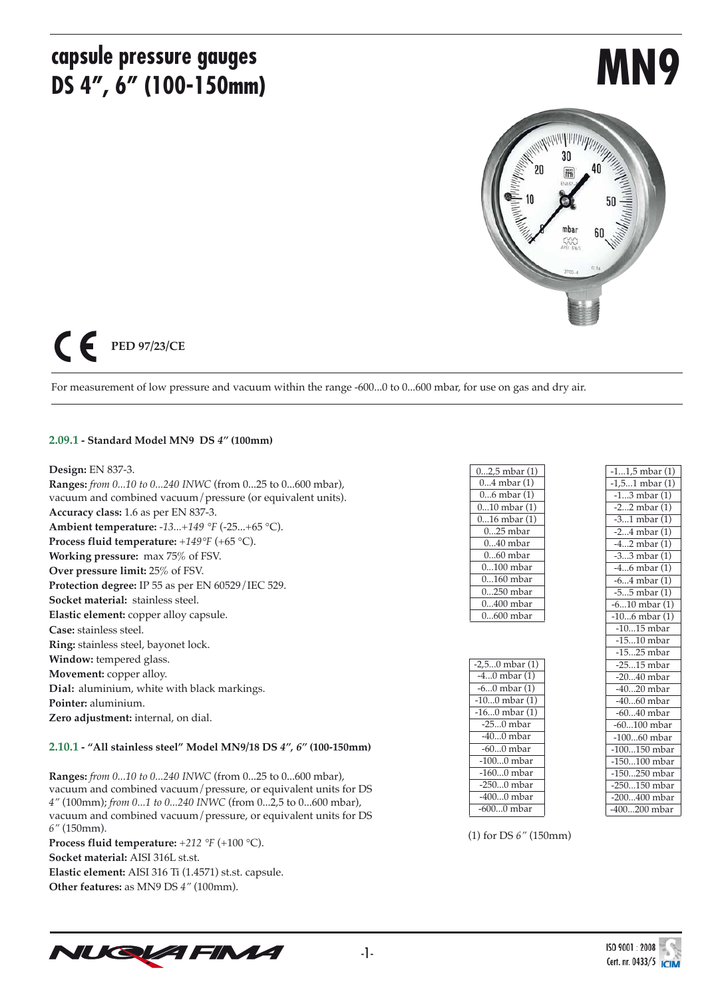## **capsule pressure gauges DS 4", 6" (100-150mm)**

# **MN9**



## $\epsilon$ **PED 97/23/CE**

For measurement of low pressure and vacuum within the range -600...0 to 0...600 mbar, for use on gas and dry air.

#### **2.09.1 - Standard Model MN9 DS** *4"* **(100mm)**

#### **Design:** EN 837-3.

**Ranges:** *from 0...10 to 0...240 INWC* (from 0...25 to 0...600 mbar), vacuum and combined vacuum/pressure (or equivalent units). **Accuracy class:** 1.6 as per EN 837-3. **Ambient temperature:** *-13...+149 °F* (-25...+65 °C). **Process fluid temperature:** *+149°F* (+65 °C). **Working pressure:** max 75% of FSV. **Over pressure limit:** 25% of FSV. **Protection degree:** IP 55 as per EN 60529/IEC 529. **Socket material:** stainless steel. **Elastic element:** copper alloy capsule. **Case:** stainless steel. **Ring:** stainless steel, bayonet lock. **Window:** tempered glass. **Movement:** copper alloy. **Dial:** aluminium, white with black markings. **Pointer:** aluminium. **Zero adjustment:** internal, on dial.

#### **2.10.1 - "All stainless steel" Model MN9/18 DS** *4", 6"* **(100-150mm)**

**Ranges:** *from 0...10 to 0...240 INWC* (from 0...25 to 0...600 mbar), vacuum and combined vacuum/pressure, or equivalent units for DS *4"* (100mm); *from 0...1 to 0...240 INWC* (from 0...2,5 to 0...600 mbar), vacuum and combined vacuum/pressure, or equivalent units for DS *6"* (150mm).

**Process fluid temperature:** *+212 °F* (+100 °C). **Socket material:** AISI 316L st.st. **Elastic element:** AISI 316 Ti (1.4571) st.st. capsule. **Other features:** as MN9 DS *4"* (100mm).

| $02,5$ mbar $(1)$ |
|-------------------|
| 04 mbar (1)       |
| $06$ mbar $(1)$   |
| $010$ mbar $(1)$  |
| $016$ mbar $(1)$  |
| $025$ mbar        |
| $040$ mbar        |
| $060$ mbar        |
| $0100$ mbar       |
| $0160$ mbar       |
| 0250 mbar         |
| $0400$ mbar       |
| $0600$ mbar       |

| $-2,50$ mbar $(1)$ |
|--------------------|
| $-40$ mbar $(1)$   |
| $-60$ mbar $(1)$   |
| $-100$ mbar $(1)$  |
| $-160$ mbar $(1)$  |
| $-250$ mbar        |
| $-400$ mbar        |
| $-600$ mbar        |
| $-1000$ mbar       |
| $-1600$ mbar       |
| $-2500$ mbar       |
| $-4000$ mbar       |
| -6000 mbar         |

| $-11,5$ mbar $(1)$ |
|--------------------|
| $-1,51$ mbar $(1)$ |
| $-13$ mbar $(1)$   |
| $-22$ mbar $(1)$   |
| $-31$ mbar $(1)$   |
| $-24$ mbar $(1)$   |
| $-42$ mbar $(1)$   |
| $-33$ mbar $(1)$   |
| -46 mbar (1)       |
| $-64$ mbar $(1)$   |
| $-55$ mbar $(1)$   |
| $-610$ mbar $(1)$  |
| $-106$ mbar $(1)$  |
| $-1015$ mbar       |
| $-1510$ mbar       |
| $-1525$ mbar       |
| $-2515$ mbar       |
| $-2040$ mbar       |
| $-4020$ mbar       |
| $-4060$ mbar       |
| $-6040$ mbar       |
| $-60100$ mbar      |
| $-10060$ mbar      |
| $-100150$ mbar     |
| $-150100$ mbar     |
| $-150250$ mbar     |
| -250150 mbar       |
| -200400 mbar       |
| $-400200$ mbar     |

(1) for DS *6"* (150mm)